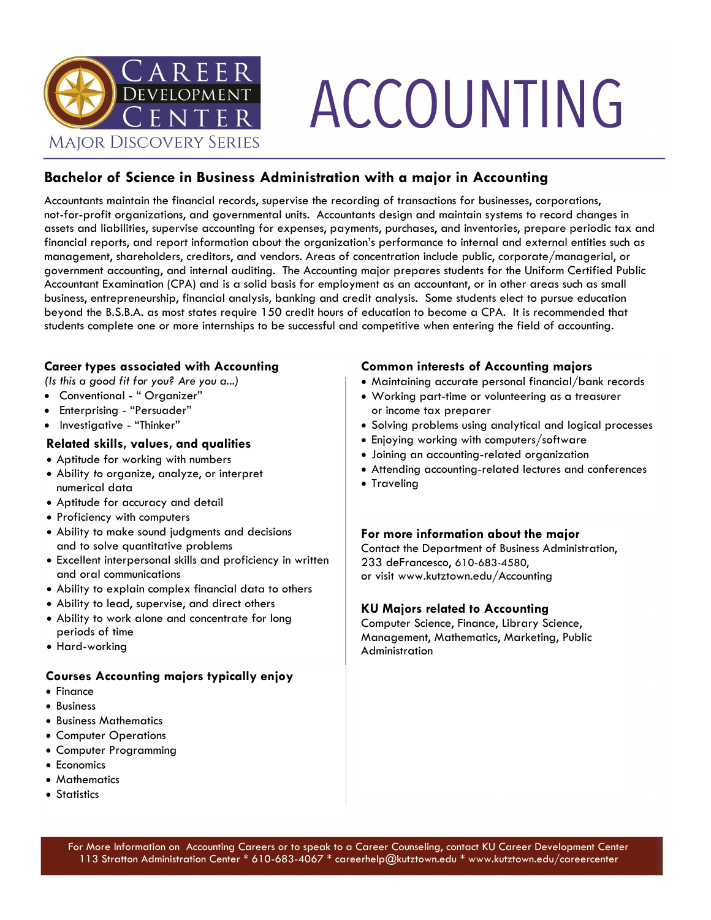

# ACCOUNTING

### **Bachelor of Science in Business Administration with a major in Accounting**

Accountants maintain the financial records, supervise the recording of transactions for businesses, corporations, not-for-profit organizations, and governmental units. Accountants design and maintain systems to record changes in assets and liabilities, supervise accounting for expenses, payments, purchases, and inventories, prepare periodic tax and financial reports, and report information about the organization's performance to internal and external entities such as management, shareholders, creditors, and vendors. Areas of concentration include public, corporate/managerial, or government accounting, and internal auditing. The Accounting major prepares students for the Uniform Certified Public Accountant Examination (CPA) and is a solid basis for employment as an accountant, or in other areas such as small business, entrepreneurship, financial analysis, banking and credit analysis. Some students elect to pursue education beyond the B.S.B.A. as most states require 150 credit hours of education to become a CPA. It is recommended that students complete one or more internships to be successful and competitive when entering the field of accounting.

### **Career types associated with Accounting**

*(Is this a good fit for you? Are you a...)*

- Conventional " Organizer"
- Enterprising "Persuader"
- Investigative "Thinker"

### **Related skills, values, and qualities**

- Aptitude for working with numbers
- Ability *to o*rganize, analyze, or interpret numerical data
- Aptitude for accuracy and detail
- Proficiency with computers
- Ability to make sound judgments and decisions and to solve quantitative problems
- Excellent interpersonal skills and proficiency in written and oral communications
- Ability to explain complex financial data to others
- Ability to lead, supervise, and direct others
- Ability to work alone and concentrate for long periods of time
- Hard-working

### **Courses Accounting majors typically enjoy**

- Finance
- Business
- Business Mathematics
- Computer Operations
- Computer Programming
- Economics
- Mathematics
- Statistics

### **Common interests of Accounting majors**

- Maintaining accurate personal financial/bank records
- Working part-time or volunteering as a treasurer or income tax preparer
- Solving problems using analytical and logical processes
- Enjoying working with computers/software
- Joining an accounting-related organization
- Attending accounting-related lectures and conferences
- Traveling

### **For more information about the major**

Contact the Department of Business Administration, 233 deFrancesco, 610-683-4580, or visit www.kutztown.edu/Accounting

### **KU Majors related to Accounting**

Computer Science, Finance, Library Science, Management, Mathematics, Marketing, Public Administration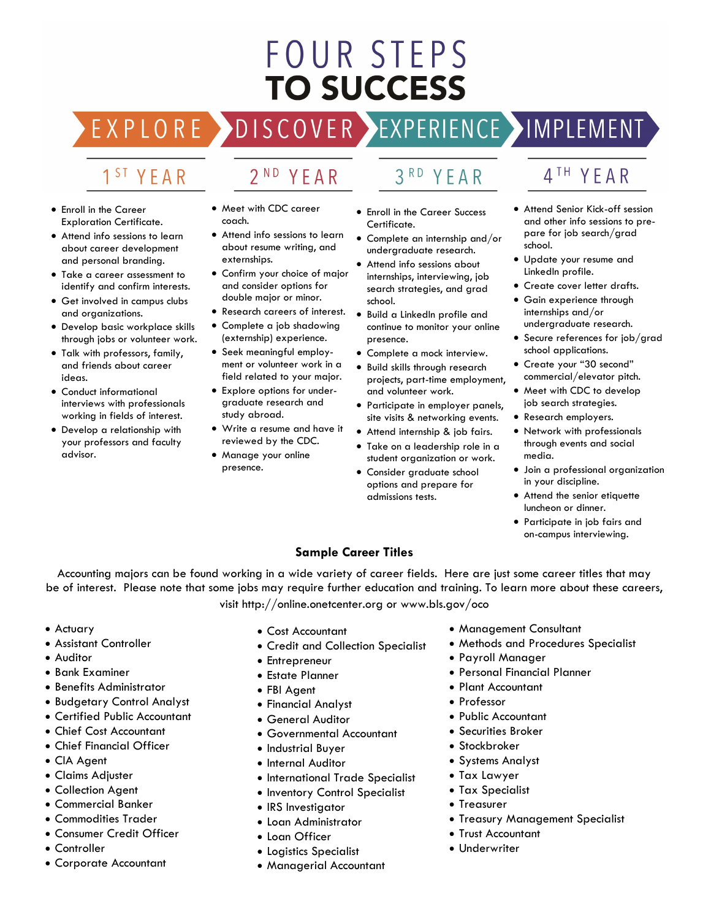## **FOUR STEPS TO SUCCESS**

**DISCOVER** EXPLORE >

### 1<sup>ST</sup> YEAR

- Enroll in the Career Exploration Certificate.
- Attend info sessions to learn about career development and personal branding.
- Take a career assessment to identify and confirm interests.
- Get involved in campus clubs and organizations.
- Develop basic workplace skills through jobs or volunteer work.
- Talk with professors, family, and friends about career ideas.
- Conduct informational interviews with professionals working in fields of interest.
- Develop a relationship with your professors and faculty advisor.

• Meet with CDC career coach.

2<sup>ND</sup> YEAR

- Attend info sessions to learn about resume writing, and externships.
- Confirm your choice of major and consider options for double major or minor.
- Research careers of interest.
- Complete a job shadowing (externship) experience.
- Seek meaningful employment or volunteer work in a field related to your major.
- Explore options for undergraduate research and study abroad.
- Write a resume and have it reviewed by the CDC.
- Manage your online presence.
- $3<sup>RD</sup>$ YEAR
- Enroll in the Career Success Certificate.
- Complete an internship and/or undergraduate research.
- Attend info sessions about internships, interviewing, job search strategies, and grad school.
- Build a LinkedIn profile and continue to monitor your online presence.
- Complete a mock interview.
- Build skills through research projects, part-time employment, and volunteer work.
- Participate in employer panels, site visits & networking events.
- Attend internship & job fairs.
- Take on a leadership role in a student organization or work.
- Consider graduate school options and prepare for admissions tests.

### 4<sup>TH</sup> YEAR

- Attend Senior Kick-off session and other info sessions to prepare for job search/grad school.
- Update your resume and LinkedIn profile.
- Create cover letter drafts.
- Gain experience through internships and/or undergraduate research.
- Secure references for job/grad school applications.
- Create your "30 second" commercial/elevator pitch.
- Meet with CDC to develop job search strategies.
- Research employers.
- Network with professionals through events and social media.
- Join a professional organization in your discipline.
- Attend the senior etiquette luncheon or dinner.
- Participate in job fairs and on-campus interviewing.

### **Sample Career Titles**

Accounting majors can be found working in a wide variety of career fields. Here are just some career titles that may be of interest. Please note that some jobs may require further education and training. To learn more about these careers, visit http://online.onetcenter.org or www.bls.gov/oco

- Actuary
- Assistant Controller
- Auditor
- Bank Examiner
- Benefits Administrator
- Budgetary Control Analyst
- Certified Public Accountant
- Chief Cost Accountant
- Chief Financial Officer
- CIA Agent
- Claims Adjuster
- Collection Agent
- Commercial Banker
- Commodities Trader
- Consumer Credit Officer
- Controller
- Corporate Accountant
- Cost Accountant
- Credit and Collection Specialist
- Entrepreneur
- Estate Planner
- FBI Agent
- Financial Analyst
- General Auditor
- Governmental Accountant
- Industrial Buyer
- Internal Auditor
- International Trade Specialist
- Inventory Control Specialist
- IRS Investigator
- Loan Administrator
- Loan Officer
- Logistics Specialist
- Managerial Accountant
- Management Consultant
- Methods and Procedures Specialist
- Payroll Manager
- Personal Financial Planner
- Plant Accountant
- Professor
- Public Accountant
- Securities Broker
- Stockbroker
- Systems Analyst
- Tax Lawyer
- Tax Specialist
- Treasurer
- Treasury Management Specialist
- Trust Accountant
- Underwriter

EXPERIENCE >IMPLEMENT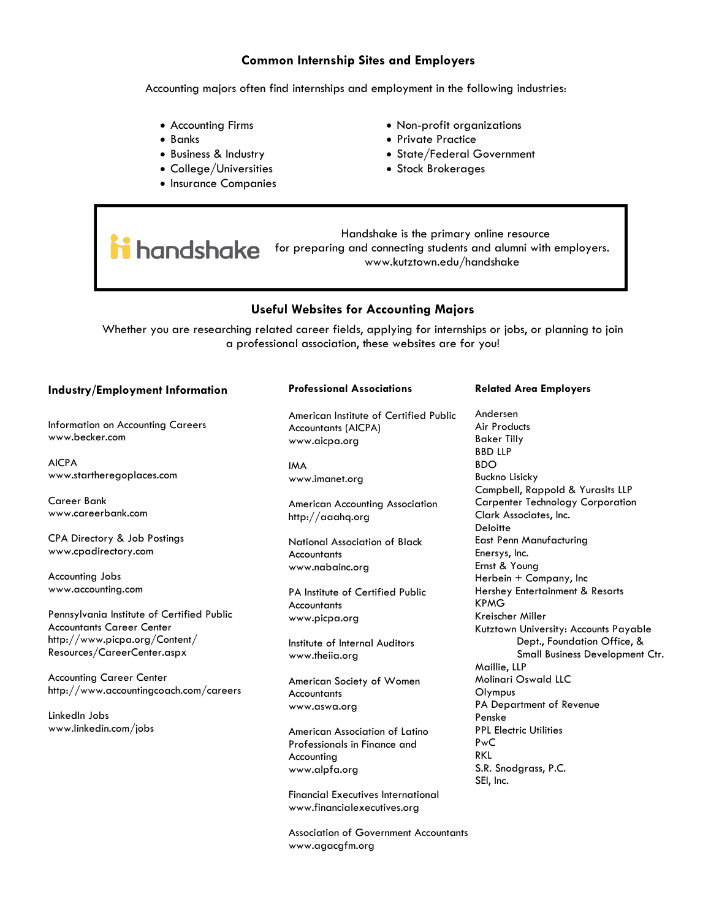### **Common Internship Sites and Employers**

Accounting majors often find internships and employment in the following industries:

- Accounting Firms
- Banks
- Business & Industry
- College/Universities
- Insurance Companies
- Non-profit organizations
- Private Practice
- State/Federal Government
- Stock Brokerages

 Handshake is the primary online resource **induction** is the primary child ressorted to **halo the property of the students** and alumni with employers. www.kutztown.edu/handshake

### **Useful Websites for Accounting Majors**

Whether you are researching related career fields, applying for internships or jobs, or planning to join a professional association, these websites are for you!

### **Industry/Employment Information**

Information on Accounting Careers www.becker.com

AICPA www.startheregoplaces.com

Career Bank www.careerbank.com

CPA Directory & Job Postings www.cpadirectory.com

Accounting Jobs www.accounting.com

Pennsylvania Institute of Certified Public Accountants Career Center http://www.picpa.org/Content/ Resources/CareerCenter.aspx

Accounting Career Center http://www.accountingcoach.com/careers

LinkedIn Jobs www.linkedin.com/jobs

### **Professional Associations**

American Institute of Certified Public Accountants (AICPA) www.aicpa.org

IMA www.imanet.org

American Accounting Association http://aaahq.org

National Association of Black **Accountants** www.nabainc.org

PA Institute of Certified Public **Accountants** www.picpa.org

Institute of Internal Auditors www.theiia.org

American Society of Women **Accountants** www.aswa.org

American Association of Latino Professionals in Finance and Accounting www.alpfa.org

Financial Executives International www.financialexecutives.org

Association of Government Accountants www.agacgfm.org

### **Related Area Employers**

Andersen Air Products Baker Tilly BBD LLP BDO Buckno Lisicky Campbell, Rappold & Yurasits LLP Carpenter Technology Corporation Clark Associates, Inc. **Deloitte** East Penn Manufacturing Enersys, Inc. Ernst & Young Herbein + Company, Inc Hershey Entertainment & Resorts KPMG Kreischer Miller Kutztown University: Accounts Payable Dept., Foundation Office, & Small Business Development Ctr. Maillie, LLP Molinari Oswald LLC Olympus PA Department of Revenue Penske PPL Electric Utilities PwC RKL S.R. Snodgrass, P.C. SEI, Inc.